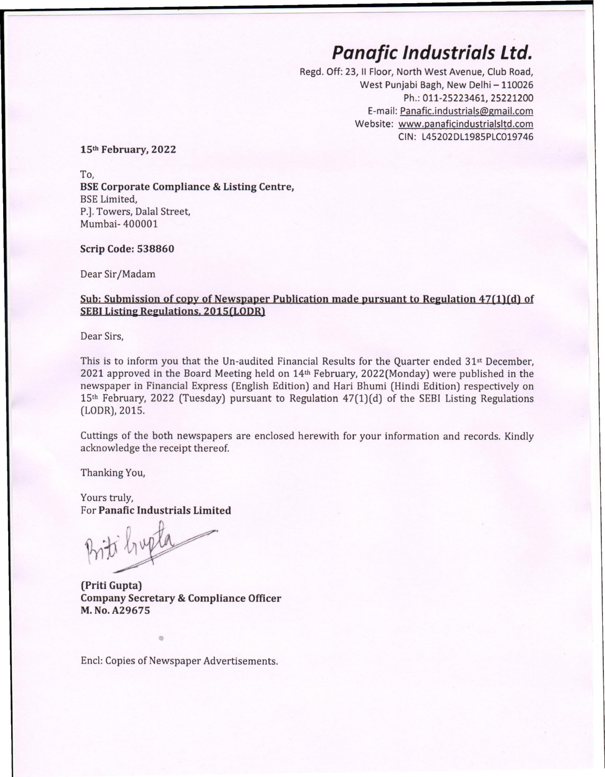## *Panafic Industrials Ltd.*

Regd. Off: 23, II Floor, North West Avenue, Club Road, West Punjabi Bagh, New Delhi - 110026 Ph.: 011-25223461, 25221200 E-mail: [Panafic.industrials@gmail.com](mailto:Panafic.industrials@gmail.com) Website: [www.panaficindustrialsltd.com](http://www.panaficindustrialsltd.com) CIN: L45202DL1985PLC019746

**15th February, 2022**

*To,* **BSECorporate Compliance & Listing Centre,** BSE Limited, P.]. Towers, Dalal Street, Mumbai- 400001

## **Scrip Code: 538860**

Dear Sir/Madam

## **Sub: Submission of copy of Newspaper Publication made pursuant to Reeulation 47(1)(d) of SEBIListine Reeulations. 2015(LODR)**

Dear Sirs,

This is to inform you that the Un-audited Financial Results for the Quarter ended 31st December, 2021 approved in the Board Meeting held on 14th February, 2022(Monday) were published in the newspaper in Financial Express (English Edition) and Hari Bhumi (Hindi Edition) respectively on 15th February, 2022 (Tuesday) pursuant to Regulation 47(1)(d) of the SEB! Listing Regulations (LODR),2015.

Cuttings of the both newspapers are enclosed herewith for your information and records. Kindly acknowledge the receipt thereof.

Thanking You,

Yours truly, For **Panafic Industrials Limited**

ti hupta

**(Priti Gupta) Company Secretary & Compliance Officer M.No.A29675**

Encl: Copies of Newspaper Advertisements.

•